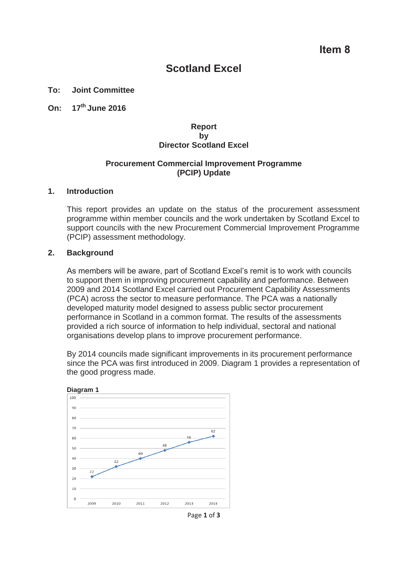# **Scotland Excel**

## **To: Joint Committee**

**On: 17th June 2016** 

## **Report by Director Scotland Excel**

## **Procurement Commercial Improvement Programme (PCIP) Update**

#### **1. Introduction**

This report provides an update on the status of the procurement assessment programme within member councils and the work undertaken by Scotland Excel to support councils with the new Procurement Commercial Improvement Programme (PCIP) assessment methodology.

#### **2. Background**

As members will be aware, part of Scotland Excel's remit is to work with councils to support them in improving procurement capability and performance. Between 2009 and 2014 Scotland Excel carried out Procurement Capability Assessments (PCA) across the sector to measure performance. The PCA was a nationally developed maturity model designed to assess public sector procurement performance in Scotland in a common format. The results of the assessments provided a rich source of information to help individual, sectoral and national organisations develop plans to improve procurement performance.

By 2014 councils made significant improvements in its procurement performance since the PCA was first introduced in 2009. Diagram 1 provides a representation of the good progress made.



Page **1** of **3**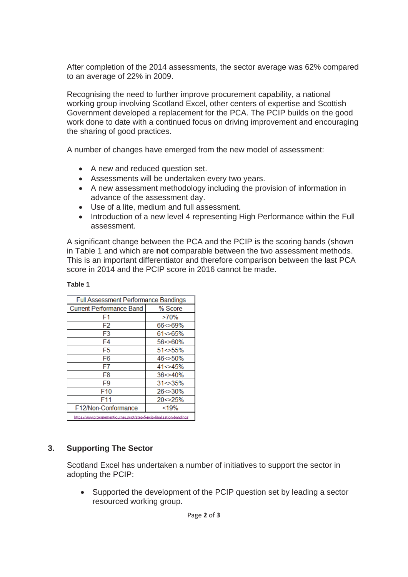After completion of the 2014 assessments, the sector average was 62% compared to an average of 22% in 2009.

Recognising the need to further improve procurement capability, a national working group involving Scotland Excel, other centers of expertise and Scottish Government developed a replacement for the PCA. The PCIP builds on the good work done to date with a continued focus on driving improvement and encouraging the sharing of good practices.

A number of changes have emerged from the new model of assessment:

- A new and reduced question set.
- Assessments will be undertaken every two years.
- A new assessment methodology including the provision of information in advance of the assessment day.
- Use of a lite, medium and full assessment.
- Introduction of a new level 4 representing High Performance within the Full assessment.

A significant change between the PCA and the PCIP is the scoring bands (shown in Table 1 and which are **not** comparable between the two assessment methods. This is an important differentiator and therefore comparison between the last PCA score in 2014 and the PCIP score in 2016 cannot be made.

| <b>Full Assessment Performance Bandings</b>                           |                |
|-----------------------------------------------------------------------|----------------|
| <b>Current Performance Band</b>                                       | % Score        |
| F1                                                                    | $>70\%$        |
| F2                                                                    | 66<>69%        |
| F3                                                                    | $61 \le 65\%$  |
| F4                                                                    | $56 < 60\%$    |
| F5                                                                    | $51 < 55\%$    |
| F6                                                                    | $46 \le 50\%$  |
| F7                                                                    | $41 < > 45\%$  |
| F8                                                                    | $36 \leq 40\%$ |
| F9                                                                    | $31 \le 35\%$  |
| F <sub>10</sub>                                                       | 26<>30%        |
| F11                                                                   | $20 \le 25\%$  |
| F12/Non-Conformance                                                   | < 19%          |
| https://www.procurementiourneu.scot/step-5-pcip-finalisation-bandings |                |

## **Table 1**

# **3. Supporting The Sector**

Scotland Excel has undertaken a number of initiatives to support the sector in adopting the PCIP:

• Supported the development of the PCIP question set by leading a sector resourced working group.